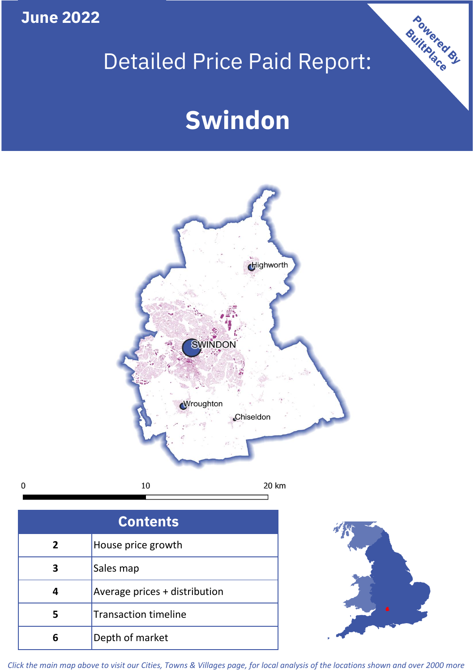**June 2022**

 $\mathbf 0$ 

## Detailed Price Paid Report:

# **Swindon**



| <b>Contents</b> |                               |  |  |
|-----------------|-------------------------------|--|--|
| $\overline{2}$  | House price growth            |  |  |
| 3               | Sales map                     |  |  |
|                 | Average prices + distribution |  |  |
| 5               | <b>Transaction timeline</b>   |  |  |
| 6               | Depth of market               |  |  |



Powered By

*Click the main map above to visit our Cities, Towns & Villages page, for local analysis of the locations shown and over 2000 more*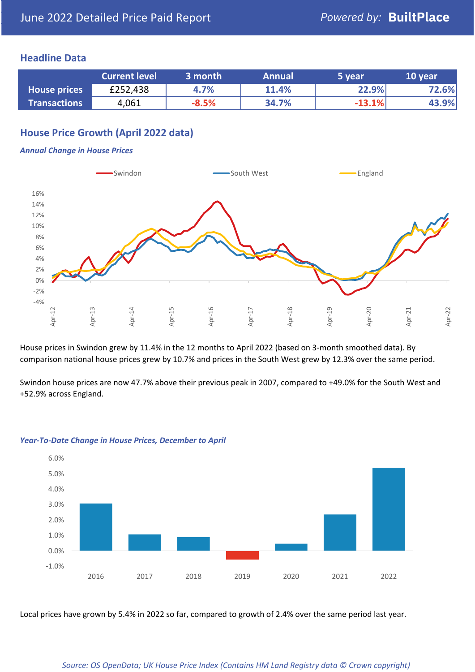## **Headline Data**

|                     | <b>Current level</b> | 3 month | <b>Annual</b> | 5 year   | 10 year |
|---------------------|----------------------|---------|---------------|----------|---------|
| <b>House prices</b> | £252,438             | 4.7%    | 11.4%         | 22.9%    | 72.6%   |
| <b>Transactions</b> | 4,061                | $-8.5%$ | 34.7%         | $-13.1%$ | 43.9%   |

## **House Price Growth (April 2022 data)**

#### *Annual Change in House Prices*



House prices in Swindon grew by 11.4% in the 12 months to April 2022 (based on 3-month smoothed data). By comparison national house prices grew by 10.7% and prices in the South West grew by 12.3% over the same period.

Swindon house prices are now 47.7% above their previous peak in 2007, compared to +49.0% for the South West and +52.9% across England.



#### *Year-To-Date Change in House Prices, December to April*

Local prices have grown by 5.4% in 2022 so far, compared to growth of 2.4% over the same period last year.

#### *Source: OS OpenData; UK House Price Index (Contains HM Land Registry data © Crown copyright)*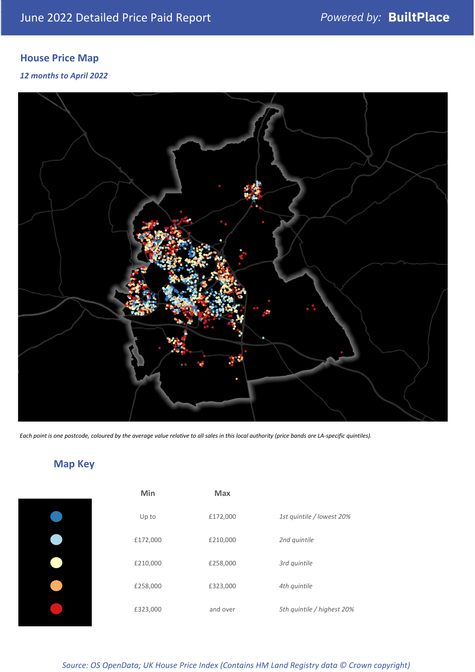## **House Price Map**

*12 months to April 2022*



*Each point is one postcode, coloured by the average value relative to all sales in this local authority (price bands are LA-specific quintiles).*

## **Map Key**

| Min      | Max      |                            |
|----------|----------|----------------------------|
| Up to    | £172,000 | 1st quintile / lowest 20%  |
| £172,000 | £210,000 | 2nd quintile               |
| £210,000 | £258,000 | 3rd quintile               |
| £258,000 | £323,000 | 4th quintile               |
| £323,000 | and over | 5th quintile / highest 20% |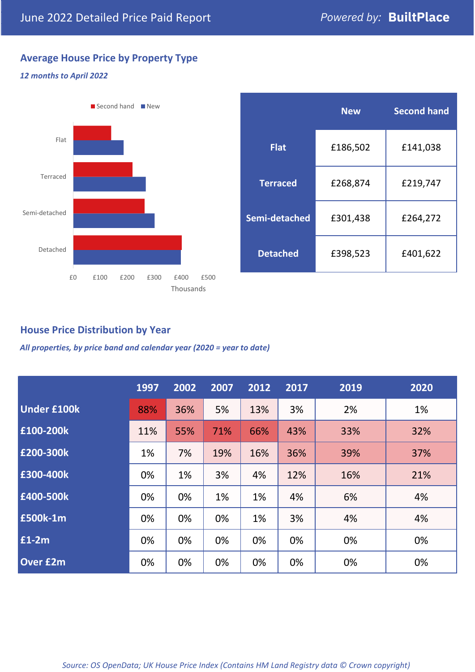## **Average House Price by Property Type**

### *12 months to April 2022*



|                 | <b>New</b> | <b>Second hand</b> |  |  |
|-----------------|------------|--------------------|--|--|
| <b>Flat</b>     | £186,502   | £141,038           |  |  |
| <b>Terraced</b> | £268,874   | £219,747           |  |  |
| Semi-detached   | £301,438   | £264,272           |  |  |
| <b>Detached</b> | £398,523   | £401,622           |  |  |

## **House Price Distribution by Year**

*All properties, by price band and calendar year (2020 = year to date)*

|                    | 1997 | 2002 | 2007 | 2012 | 2017 | 2019 | 2020 |
|--------------------|------|------|------|------|------|------|------|
| <b>Under £100k</b> | 88%  | 36%  | 5%   | 13%  | 3%   | 2%   | 1%   |
| £100-200k          | 11%  | 55%  | 71%  | 66%  | 43%  | 33%  | 32%  |
| E200-300k          | 1%   | 7%   | 19%  | 16%  | 36%  | 39%  | 37%  |
| £300-400k          | 0%   | 1%   | 3%   | 4%   | 12%  | 16%  | 21%  |
| £400-500k          | 0%   | 0%   | 1%   | 1%   | 4%   | 6%   | 4%   |
| <b>£500k-1m</b>    | 0%   | 0%   | 0%   | 1%   | 3%   | 4%   | 4%   |
| £1-2m              | 0%   | 0%   | 0%   | 0%   | 0%   | 0%   | 0%   |
| <b>Over £2m</b>    | 0%   | 0%   | 0%   | 0%   | 0%   | 0%   | 0%   |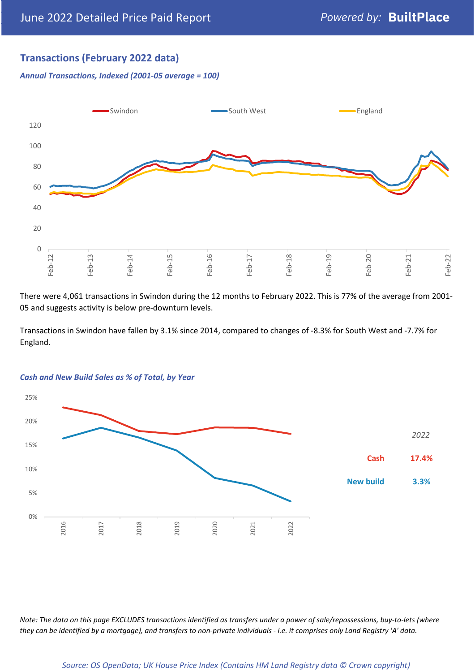## **Transactions (February 2022 data)**

*Annual Transactions, Indexed (2001-05 average = 100)*



There were 4,061 transactions in Swindon during the 12 months to February 2022. This is 77% of the average from 2001- 05 and suggests activity is below pre-downturn levels.

Transactions in Swindon have fallen by 3.1% since 2014, compared to changes of -8.3% for South West and -7.7% for England.



#### *Cash and New Build Sales as % of Total, by Year*

*Note: The data on this page EXCLUDES transactions identified as transfers under a power of sale/repossessions, buy-to-lets (where they can be identified by a mortgage), and transfers to non-private individuals - i.e. it comprises only Land Registry 'A' data.*